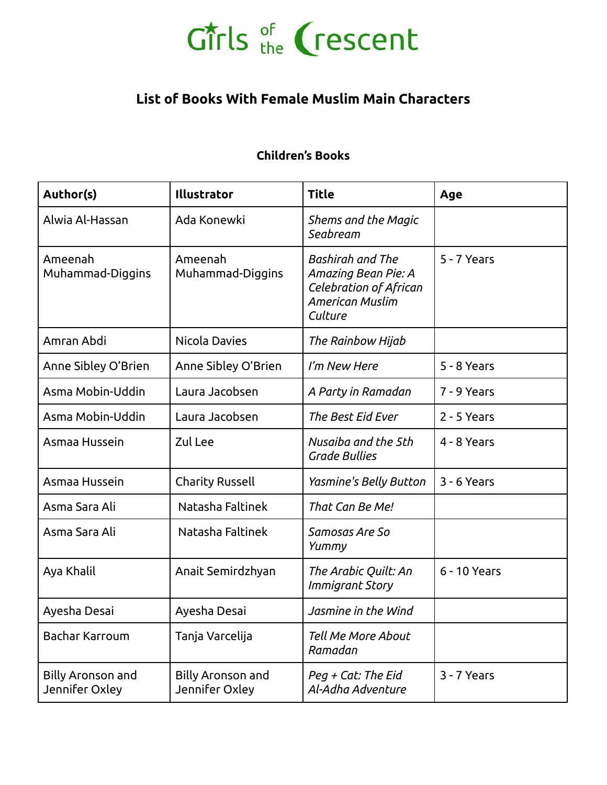#### **List of Books With Female Muslim Main Characters**

#### **Children's Books**

| Author(s)                                  | Illustrator                                | <b>Title</b>                                                                                                  | Age          |
|--------------------------------------------|--------------------------------------------|---------------------------------------------------------------------------------------------------------------|--------------|
| Alwia Al-Hassan                            | Ada Konewki                                | Shems and the Magic<br>Seabream                                                                               |              |
| Ameenah<br>Muhammad-Diggins                | Ameenah<br>Muhammad-Diggins                | <b>Bashirah and The</b><br>Amazing Bean Pie: A<br>Celebration of African<br><b>American Muslim</b><br>Culture | 5 - 7 Years  |
| Amran Abdi                                 | <b>Nicola Davies</b>                       | The Rainbow Hijab                                                                                             |              |
| Anne Sibley O'Brien                        | Anne Sibley O'Brien                        | I'm New Here                                                                                                  | 5 - 8 Years  |
| Asma Mobin-Uddin                           | Laura Jacobsen                             | A Party in Ramadan                                                                                            | 7 - 9 Years  |
| Asma Mobin-Uddin                           | Laura Jacobsen                             | The Best Eid Ever                                                                                             | 2 - 5 Years  |
| Asmaa Hussein                              | Zul Lee                                    | Nusaiba and the 5th<br><b>Grade Bullies</b>                                                                   | 4 - 8 Years  |
| Asmaa Hussein                              | <b>Charity Russell</b>                     | Yasmine's Belly Button                                                                                        | 3 - 6 Years  |
| Asma Sara Ali                              | Natasha Faltinek                           | That Can Be Me!                                                                                               |              |
| Asma Sara Ali                              | Natasha Faltinek                           | Samosas Are So<br>Yummy                                                                                       |              |
| Aya Khalil                                 | Anait Semirdzhyan                          | The Arabic Quilt: An<br>Immigrant Story                                                                       | 6 - 10 Years |
| Ayesha Desai                               | Ayesha Desai                               | Jasmine in the Wind                                                                                           |              |
| <b>Bachar Karroum</b>                      | Tanja Varcelija                            | <b>Tell Me More About</b><br>Ramadan                                                                          |              |
| <b>Billy Aronson and</b><br>Jennifer Oxley | <b>Billy Aronson and</b><br>Jennifer Oxley | Peg + Cat: The Eid<br>Al-Adha Adventure                                                                       | 3 - 7 Years  |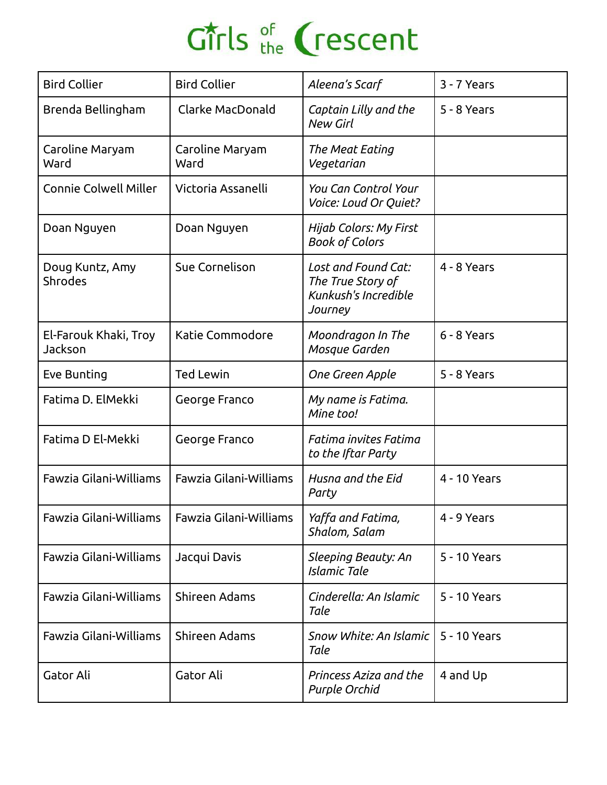| <b>Bird Collier</b>               | <b>Bird Collier</b>     | Aleena's Scarf                                                              | 3 - 7 Years  |
|-----------------------------------|-------------------------|-----------------------------------------------------------------------------|--------------|
| Brenda Bellingham                 | Clarke MacDonald        | Captain Lilly and the<br><b>New Girl</b>                                    | 5 - 8 Years  |
| Caroline Maryam<br>Ward           | Caroline Maryam<br>Ward | The Meat Eating<br>Vegetarian                                               |              |
| <b>Connie Colwell Miller</b>      | Victoria Assanelli      | <b>You Can Control Your</b><br>Voice: Loud Or Quiet?                        |              |
| Doan Nguyen                       | Doan Nguyen             | Hijab Colors: My First<br><b>Book of Colors</b>                             |              |
| Doug Kuntz, Amy<br><b>Shrodes</b> | Sue Cornelison          | Lost and Found Cat:<br>The True Story of<br>Kunkush's Incredible<br>Journey | 4 - 8 Years  |
| El-Farouk Khaki, Troy<br>Jackson  | Katie Commodore         | Moondragon In The<br>Mosque Garden                                          | 6 - 8 Years  |
| Eve Bunting                       | <b>Ted Lewin</b>        | One Green Apple                                                             | 5 - 8 Years  |
| Fatima D. ElMekki                 | George Franco           | My name is Fatima.<br>Mine too!                                             |              |
| Fatima D El-Mekki                 | George Franco           | Fatima invites Fatima<br>to the Iftar Party                                 |              |
| Fawzia Gilani-Williams            | Fawzia Gilani-Williams  | Husna and the Eid<br>Party                                                  | 4 - 10 Years |
| Fawzia Gilani-Williams            | Fawzia Gilani-Williams  | Yaffa and Fatima,<br>Shalom, Salam                                          | 4 - 9 Years  |
| Fawzia Gilani-Williams            | Jacqui Davis            | Sleeping Beauty: An<br><b>Islamic Tale</b>                                  | 5 - 10 Years |
| Fawzia Gilani-Williams            | Shireen Adams           | Cinderella: An Islamic<br>Tale                                              | 5 - 10 Years |
| Fawzia Gilani-Williams            | Shireen Adams           | Snow White: An Islamic<br>Tale                                              | 5 - 10 Years |
| Gator Ali                         | Gator Ali               | Princess Aziza and the<br>Purple Orchid                                     | 4 and Up     |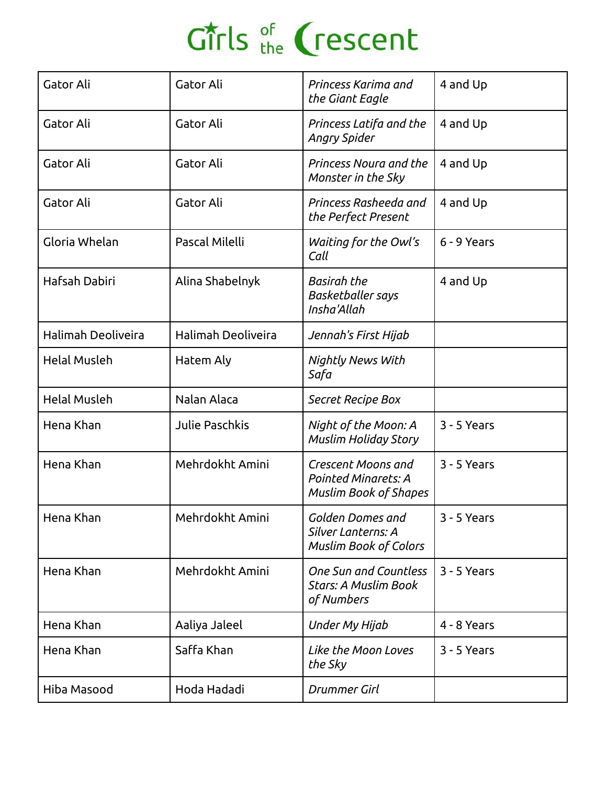| Gator Ali           | Gator Ali          | Princess Karima and<br>the Giant Eagle                                           | 4 and Up    |
|---------------------|--------------------|----------------------------------------------------------------------------------|-------------|
| Gator Ali           | Gator Ali          | Princess Latifa and the<br>Angry Spider                                          | 4 and Up    |
| Gator Ali           | Gator Ali          | Princess Noura and the<br>Monster in the Sky                                     | 4 and Up    |
| Gator Ali           | Gator Ali          | Princess Rasheeda and<br>the Perfect Present                                     | 4 and Up    |
| Gloria Whelan       | Pascal Milelli     | Waiting for the Owl's<br>Call                                                    | 6 - 9 Years |
| Hafsah Dabiri       | Alina Shabelnyk    | <b>Basirah the</b><br><b>Basketballer says</b><br>Insha'Allah                    | 4 and Up    |
| Halimah Deoliveira  | Halimah Deoliveira | Jennah's First Hijab                                                             |             |
| <b>Helal Musleh</b> | Hatem Aly          | Nightly News With<br>Safa                                                        |             |
| <b>Helal Musleh</b> | Nalan Alaca        | Secret Recipe Box                                                                |             |
| Hena Khan           | Julie Paschkis     | Night of the Moon: A<br><b>Muslim Holiday Story</b>                              | 3 - 5 Years |
| Hena Khan           | Mehrdokht Amini    | Crescent Moons and<br><b>Pointed Minarets: A</b><br><b>Muslim Book of Shapes</b> | 3 - 5 Years |
| Hena Khan           | Mehrdokht Amini    | Golden Domes and<br>Silver Lanterns: A<br><b>Muslim Book of Colors</b>           | 3 - 5 Years |
| Hena Khan           | Mehrdokht Amini    | <b>One Sun and Countless</b><br><b>Stars: A Muslim Book</b><br>of Numbers        | 3 - 5 Years |
| Hena Khan           | Aaliya Jaleel      | Under My Hijab                                                                   | 4 - 8 Years |
| Hena Khan           | Saffa Khan         | Like the Moon Loves<br>the Sky                                                   | 3 - 5 Years |
| Hiba Masood         | Hoda Hadadi        | Drummer Girl                                                                     |             |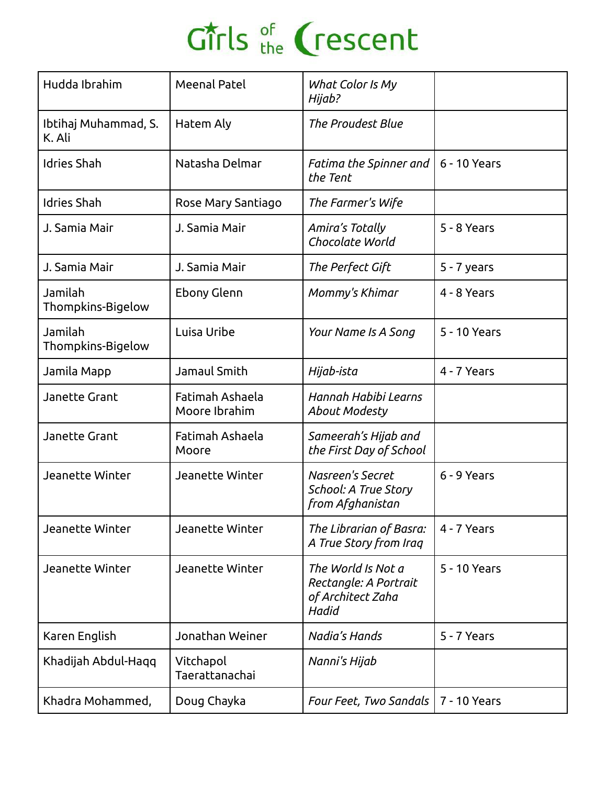| Hudda Ibrahim                  | Meenal Patel                     | What Color Is My<br>Hijab?                                                |               |
|--------------------------------|----------------------------------|---------------------------------------------------------------------------|---------------|
| Ibtihaj Muhammad, S.<br>K. Ali | Hatem Aly                        | <b>The Proudest Blue</b>                                                  |               |
| <b>Idries Shah</b>             | Natasha Delmar                   | Fatima the Spinner and<br>the Tent                                        | 6 - 10 Years  |
| <b>Idries Shah</b>             | Rose Mary Santiago               | The Farmer's Wife                                                         |               |
| J. Samia Mair                  | J. Samia Mair                    | Amira's Totally<br>Chocolate World                                        | 5 - 8 Years   |
| J. Samia Mair                  | J. Samia Mair                    | The Perfect Gift                                                          | $5 - 7$ years |
| Jamilah<br>Thompkins-Bigelow   | Ebony Glenn                      | Mommy's Khimar                                                            | 4 - 8 Years   |
| Jamilah<br>Thompkins-Bigelow   | Luisa Uribe                      | Your Name Is A Song                                                       | 5 - 10 Years  |
| Jamila Mapp                    | Jamaul Smith                     | Hijab-ista                                                                | 4 - 7 Years   |
| <b>Janette Grant</b>           | Fatimah Ashaela<br>Moore Ibrahim | Hannah Habibi Learns<br><b>About Modesty</b>                              |               |
| Janette Grant                  | Fatimah Ashaela<br>Moore         | Sameerah's Hijab and<br>the First Day of School                           |               |
| Jeanette Winter                | Jeanette Winter                  | Nasreen's Secret<br>School: A True Story<br>from Afghanistan              | 6 - 9 Years   |
| Jeanette Winter                | Jeanette Winter                  | The Librarian of Basra:<br>A True Story from Iraq                         | 4 - 7 Years   |
| Jeanette Winter                | Jeanette Winter                  | The World Is Not a<br>Rectangle: A Portrait<br>of Architect Zaha<br>Hadid | 5 - 10 Years  |
| Karen English                  | Jonathan Weiner                  | Nadia's Hands                                                             | 5 - 7 Years   |
| Khadijah Abdul-Haqq            | Vitchapol<br>Taerattanachai      | Nanni's Hijab                                                             |               |
| Khadra Mohammed,               | Doug Chayka                      | Four Feet, Two Sandals                                                    | 7 - 10 Years  |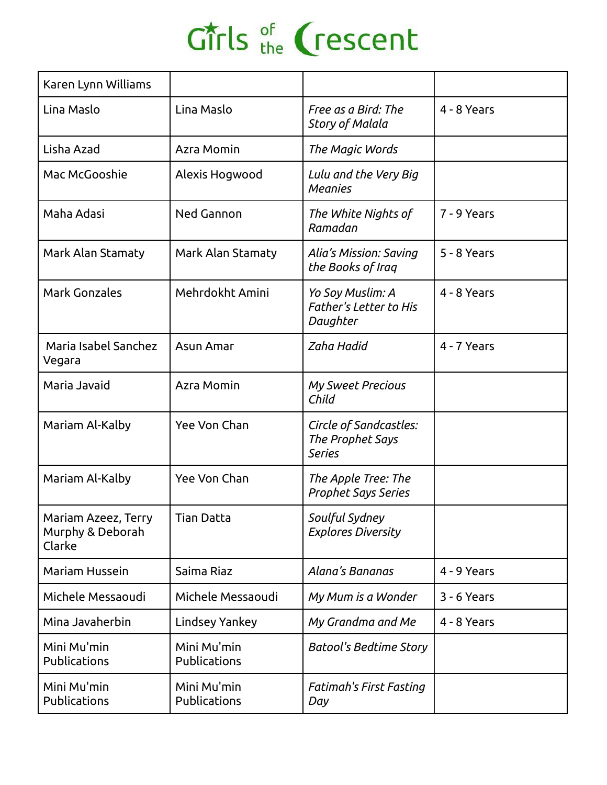| Karen Lynn Williams                               |                             |                                                               |             |
|---------------------------------------------------|-----------------------------|---------------------------------------------------------------|-------------|
| Lina Maslo                                        | Lina Maslo                  | Free as a Bird: The<br><b>Story of Malala</b>                 | 4 - 8 Years |
| Lisha Azad                                        | Azra Momin                  | The Magic Words                                               |             |
| Mac McGooshie                                     | Alexis Hogwood              | Lulu and the Very Big<br><b>Meanies</b>                       |             |
| Maha Adasi                                        | Ned Gannon                  | The White Nights of<br>Ramadan                                | 7 - 9 Years |
| Mark Alan Stamaty                                 | Mark Alan Stamaty           | Alia's Mission: Saving<br>the Books of Iraq                   | 5 - 8 Years |
| <b>Mark Gonzales</b>                              | Mehrdokht Amini             | Yo Soy Muslim: A<br><b>Father's Letter to His</b><br>Daughter | 4 - 8 Years |
| Maria Isabel Sanchez<br>Vegara                    | Asun Amar                   | Zaha Hadid                                                    | 4 - 7 Years |
| Maria Javaid                                      | Azra Momin                  | <b>My Sweet Precious</b><br>Child                             |             |
| Mariam Al-Kalby                                   | Yee Von Chan                | Circle of Sandcastles:<br>The Prophet Says<br><b>Series</b>   |             |
| Mariam Al-Kalby                                   | Yee Von Chan                | The Apple Tree: The<br><b>Prophet Says Series</b>             |             |
| Mariam Azeez, Terry<br>Murphy & Deborah<br>Clarke | <b>Tian Datta</b>           | Soulful Sydney<br><b>Explores Diversity</b>                   |             |
| Mariam Hussein                                    | Saima Riaz                  | Alana's Bananas                                               | 4 - 9 Years |
| Michele Messaoudi                                 | Michele Messaoudi           | My Mum is a Wonder                                            | 3 - 6 Years |
| Mina Javaherbin                                   | Lindsey Yankey              | My Grandma and Me                                             | 4 - 8 Years |
| Mini Mu'min<br>Publications                       | Mini Mu'min<br>Publications | <b>Batool's Bedtime Story</b>                                 |             |
| Mini Mu'min<br>Publications                       | Mini Mu'min<br>Publications | <b>Fatimah's First Fasting</b><br>Day                         |             |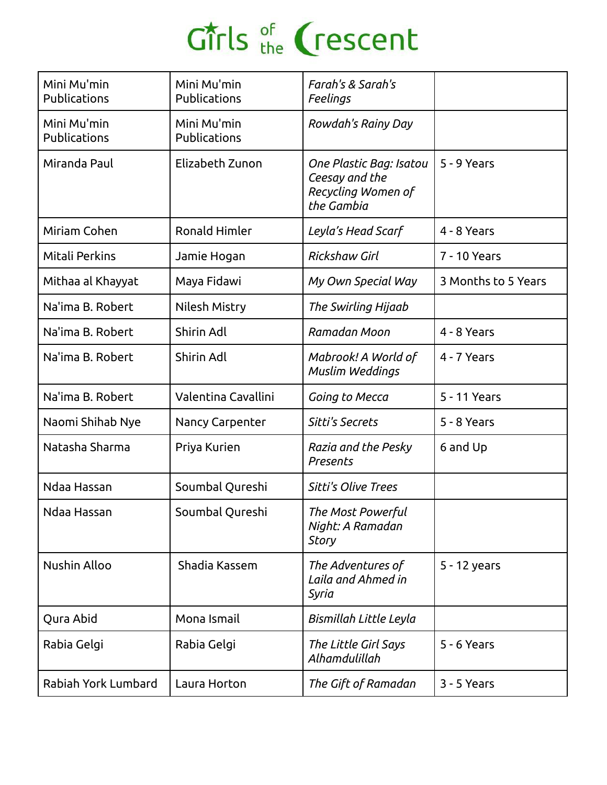| Mini Mu'min<br>Publications        | Mini Mu'min<br>Publications | Farah's & Sarah's<br>Feelings                                                 |                     |
|------------------------------------|-----------------------------|-------------------------------------------------------------------------------|---------------------|
| Mini Mu'min<br><b>Publications</b> | Mini Mu'min<br>Publications | Rowdah's Rainy Day                                                            |                     |
| Miranda Paul                       | Elizabeth Zunon             | One Plastic Bag: Isatou<br>Ceesay and the<br>Recycling Women of<br>the Gambia | 5 - 9 Years         |
| Miriam Cohen                       | <b>Ronald Himler</b>        | Leyla's Head Scarf                                                            | 4 - 8 Years         |
| Mitali Perkins                     | Jamie Hogan                 | <b>Rickshaw Girl</b>                                                          | 7 - 10 Years        |
| Mithaa al Khayyat                  | Maya Fidawi                 | My Own Special Way                                                            | 3 Months to 5 Years |
| Na'ima B. Robert                   | Nilesh Mistry               | The Swirling Hijaab                                                           |                     |
| Na'ima B. Robert                   | Shirin Adl                  | Ramadan Moon                                                                  | 4 - 8 Years         |
| Na'ima B. Robert                   | Shirin Adl                  | Mabrook! A World of<br>Muslim Weddings                                        | 4 - 7 Years         |
| Na'ima B. Robert                   | Valentina Cavallini         | Going to Mecca                                                                | 5 - 11 Years        |
| Naomi Shihab Nye                   | Nancy Carpenter             | Sitti's Secrets                                                               | 5 - 8 Years         |
| Natasha Sharma                     | Priya Kurien                | Razia and the Pesky<br>Presents                                               | 6 and Up            |
| Ndaa Hassan                        | Soumbal Qureshi             | <b>Sitti's Olive Trees</b>                                                    |                     |
| Ndaa Hassan                        | Soumbal Qureshi             | The Most Powerful<br>Night: A Ramadan<br><b>Story</b>                         |                     |
| <b>Nushin Alloo</b>                | Shadia Kassem               | The Adventures of<br>Laila and Ahmed in<br>Syria                              | 5 - 12 years        |
| Qura Abid                          | Mona Ismail                 | Bismillah Little Leyla                                                        |                     |
| Rabia Gelgi                        | Rabia Gelgi                 | The Little Girl Says<br>Alhamdulillah                                         | 5 - 6 Years         |
| Rabiah York Lumbard                | Laura Horton                | The Gift of Ramadan                                                           | 3 - 5 Years         |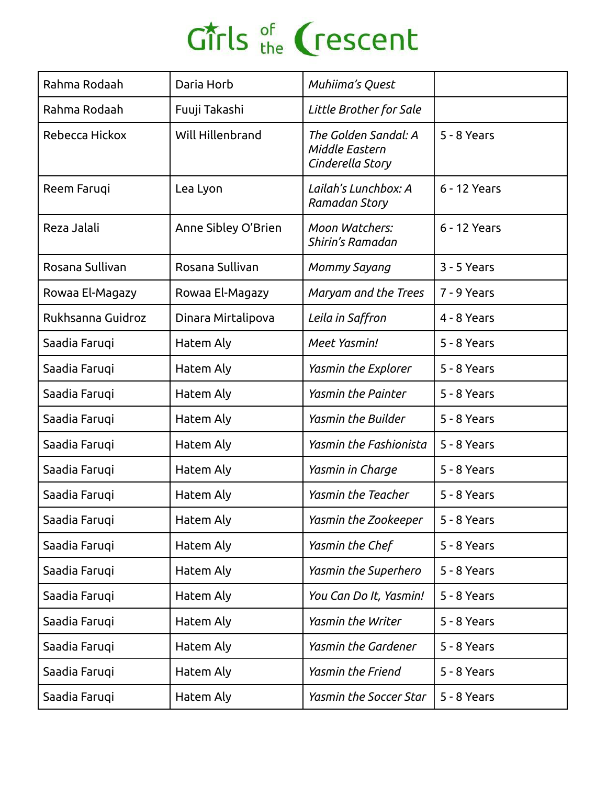| Rahma Rodaah      | Daria Horb          | Muhiima's Quest                                            |              |
|-------------------|---------------------|------------------------------------------------------------|--------------|
| Rahma Rodaah      | Fuuji Takashi       | Little Brother for Sale                                    |              |
| Rebecca Hickox    | Will Hillenbrand    | The Golden Sandal: A<br>Middle Eastern<br>Cinderella Story | 5 - 8 Years  |
| Reem Faruqi       | Lea Lyon            | Lailah's Lunchbox: A<br>Ramadan Story                      | 6 - 12 Years |
| Reza Jalali       | Anne Sibley O'Brien | Moon Watchers:<br>Shirin's Ramadan                         | 6 - 12 Years |
| Rosana Sullivan   | Rosana Sullivan     | Mommy Sayang                                               | 3 - 5 Years  |
| Rowaa El-Magazy   | Rowaa El-Magazy     | Maryam and the Trees                                       | 7 - 9 Years  |
| Rukhsanna Guidroz | Dinara Mirtalipova  | Leila in Saffron                                           | 4 - 8 Years  |
| Saadia Faruqi     | Hatem Aly           | Meet Yasmin!                                               | 5 - 8 Years  |
| Saadia Faruqi     | Hatem Aly           | Yasmin the Explorer                                        | 5 - 8 Years  |
| Saadia Faruqi     | Hatem Aly           | <b>Yasmin the Painter</b>                                  | 5 - 8 Years  |
| Saadia Faruqi     | Hatem Aly           | <b>Yasmin the Builder</b>                                  | 5 - 8 Years  |
| Saadia Faruqi     | Hatem Aly           | Yasmin the Fashionista                                     | 5 - 8 Years  |
| Saadia Faruqi     | Hatem Aly           | Yasmin in Charge                                           | 5 - 8 Years  |
| Saadia Faruqi     | Hatem Aly           | <b>Yasmin the Teacher</b>                                  | 5 - 8 Years  |
| Saadia Faruqi     | Hatem Aly           | Yasmin the Zookeeper                                       | 5 - 8 Years  |
| Saadia Faruqi     | Hatem Aly           | Yasmin the Chef                                            | 5 - 8 Years  |
| Saadia Faruqi     | Hatem Aly           | Yasmin the Superhero                                       | 5 - 8 Years  |
| Saadia Faruqi     | Hatem Aly           | You Can Do It, Yasmin!                                     | 5 - 8 Years  |
| Saadia Faruqi     | Hatem Aly           | Yasmin the Writer                                          | 5 - 8 Years  |
| Saadia Faruqi     | Hatem Aly           | Yasmin the Gardener                                        | 5 - 8 Years  |
| Saadia Faruqi     | Hatem Aly           | Yasmin the Friend                                          | 5 - 8 Years  |
| Saadia Faruqi     | Hatem Aly           | Yasmin the Soccer Star                                     | 5 - 8 Years  |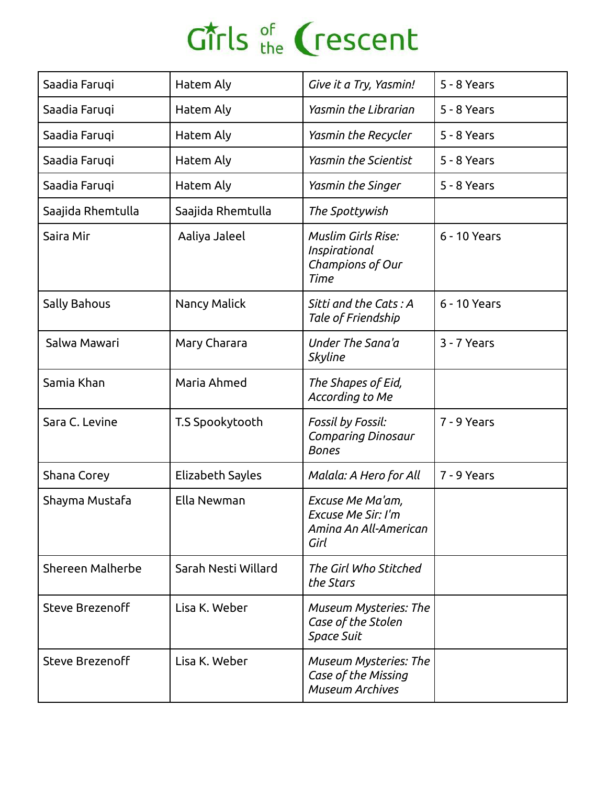| Saadia Faruqi       | Hatem Aly           | Give it a Try, Yasmin!                                                        | 5 - 8 Years  |
|---------------------|---------------------|-------------------------------------------------------------------------------|--------------|
| Saadia Faruqi       | Hatem Aly           | Yasmin the Librarian                                                          | 5 - 8 Years  |
| Saadia Farugi       | Hatem Aly           | Yasmin the Recycler                                                           | 5 - 8 Years  |
| Saadia Faruqi       | Hatem Aly           | <b>Yasmin the Scientist</b>                                                   | 5 - 8 Years  |
| Saadia Faruqi       | Hatem Aly           | Yasmin the Singer                                                             | 5 - 8 Years  |
| Saajida Rhemtulla   | Saajida Rhemtulla   | The Spottywish                                                                |              |
| Saira Mir           | Aaliya Jaleel       | <b>Muslim Girls Rise:</b><br>Inspirational<br>Champions of Our<br><b>Time</b> | 6 - 10 Years |
| <b>Sally Bahous</b> | Nancy Malick        | Sitti and the Cats: A<br>Tale of Friendship                                   | 6 - 10 Years |
| Salwa Mawari        | Mary Charara        | Under The Sana'a<br><b>Skyline</b>                                            | 3 - 7 Years  |
| Samia Khan          | Maria Ahmed         | The Shapes of Eid,<br>According to Me                                         |              |
| Sara C. Levine      | T.S Spookytooth     | Fossil by Fossil:<br><b>Comparing Dinosaur</b><br><b>Bones</b>                | 7 - 9 Years  |
| Shana Corey         | Elizabeth Sayles    | Malala: A Hero for All                                                        | 7 - 9 Years  |
| Shayma Mustafa      | Ella Newman         | Excuse Me Ma'am,<br>Excuse Me Sir: I'm<br>Amina An All-American<br>Girl       |              |
| Shereen Malherbe    | Sarah Nesti Willard | The Girl Who Stitched<br>the Stars                                            |              |
| Steve Brezenoff     | Lisa K. Weber       | <b>Museum Mysteries: The</b><br>Case of the Stolen<br>Space Suit              |              |
| Steve Brezenoff     | Lisa K. Weber       | <b>Museum Mysteries: The</b><br>Case of the Missing<br><b>Museum Archives</b> |              |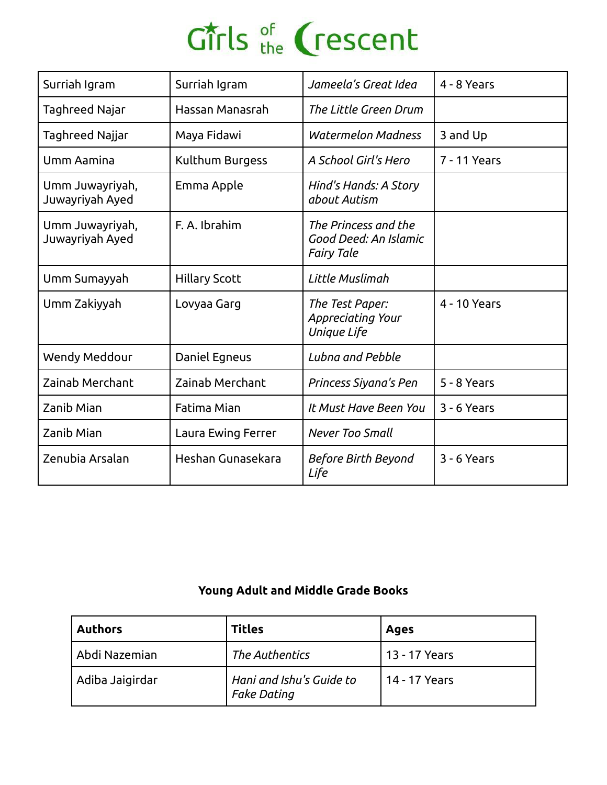| Surriah Igram                      | Surriah Igram        | Jameela's Great Idea                                               | 4 - 8 Years  |
|------------------------------------|----------------------|--------------------------------------------------------------------|--------------|
| Taghreed Najar                     | Hassan Manasrah      | The Little Green Drum                                              |              |
| Taghreed Najjar                    | Maya Fidawi          | <b>Watermelon Madness</b>                                          | 3 and Up     |
| <b>Umm Aamina</b>                  | Kulthum Burgess      | A School Girl's Hero                                               | 7 - 11 Years |
| Umm Juwayriyah,<br>Juwayriyah Ayed | Emma Apple           | Hind's Hands: A Story<br>about Autism                              |              |
| Umm Juwayriyah,<br>Juwayriyah Ayed | F. A. Ibrahim        | The Princess and the<br>Good Deed: An Islamic<br><b>Fairy Tale</b> |              |
| Umm Sumayyah                       | <b>Hillary Scott</b> | Little Muslimah                                                    |              |
| Umm Zakiyyah                       | Lovyaa Garg          | The Test Paper:<br>Appreciating Your<br>Unique Life                | 4 - 10 Years |
| Wendy Meddour                      | Daniel Egneus        | Lubna and Pebble                                                   |              |
| Zainab Merchant                    | Zainab Merchant      | Princess Siyana's Pen                                              | 5 - 8 Years  |
| Zanib Mian                         | Fatima Mian          | It Must Have Been You                                              | 3 - 6 Years  |
| Zanib Mian                         | Laura Ewing Ferrer   | <b>Never Too Small</b>                                             |              |
| Zenubia Arsalan                    | Heshan Gunasekara    | Before Birth Beyond<br>Life                                        | 3 - 6 Years  |

#### **Young Adult and Middle Grade Books**

| Authors         | <b>Titles</b>                                  | <b>Ages</b>   |
|-----------------|------------------------------------------------|---------------|
| Abdi Nazemian   | The Authentics                                 | 13 - 17 Years |
| Adiba Jaigirdar | Hani and Ishu's Guide to<br><b>Fake Dating</b> | 14 - 17 Years |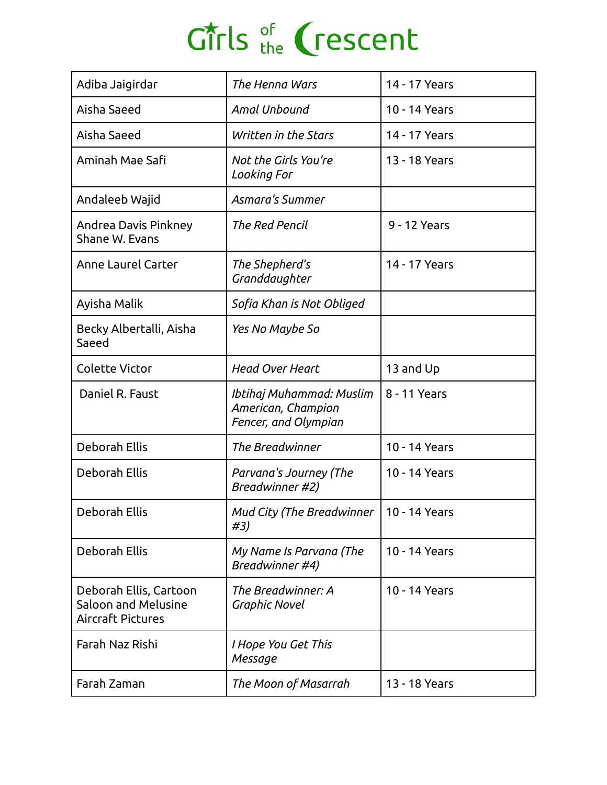| Adiba Jaigirdar                                                           | The Henna Wars                                                         | 14 - 17 Years |
|---------------------------------------------------------------------------|------------------------------------------------------------------------|---------------|
| Aisha Saeed                                                               | Amal Unbound                                                           | 10 - 14 Years |
| Aisha Saeed                                                               | Written in the Stars                                                   | 14 - 17 Years |
| Aminah Mae Safi                                                           | Not the Girls You're<br>Looking For                                    | 13 - 18 Years |
| Andaleeb Wajid                                                            | <b>Asmara's Summer</b>                                                 |               |
| Andrea Davis Pinkney<br>Shane W. Evans                                    | <b>The Red Pencil</b>                                                  | 9 - 12 Years  |
| Anne Laurel Carter                                                        | The Shepherd's<br>Granddaughter                                        | 14 - 17 Years |
| Ayisha Malik                                                              | Sofia Khan is Not Obliged                                              |               |
| Becky Albertalli, Aisha<br>Saeed                                          | Yes No Maybe So                                                        |               |
| <b>Colette Victor</b>                                                     | <b>Head Over Heart</b>                                                 | 13 and Up     |
| Daniel R. Faust                                                           | Ibtihaj Muhammad: Muslim<br>American, Champion<br>Fencer, and Olympian | 8 - 11 Years  |
| <b>Deborah Ellis</b>                                                      | The Breadwinner                                                        | 10 - 14 Years |
| <b>Deborah Ellis</b>                                                      | Parvana's Journey (The<br>Breadwinner #2)                              | 10 - 14 Years |
| Deborah Ellis                                                             | Mud City (The Breadwinner<br>#3)                                       | 10 - 14 Years |
| <b>Deborah Ellis</b>                                                      | My Name Is Parvana (The<br>Breadwinner #4)                             | 10 - 14 Years |
| Deborah Ellis, Cartoon<br>Saloon and Melusine<br><b>Aircraft Pictures</b> | The Breadwinner: A<br><b>Graphic Novel</b>                             | 10 - 14 Years |
| Farah Naz Rishi                                                           | I Hope You Get This<br>Message                                         |               |
| Farah Zaman                                                               | The Moon of Masarrah                                                   | 13 - 18 Years |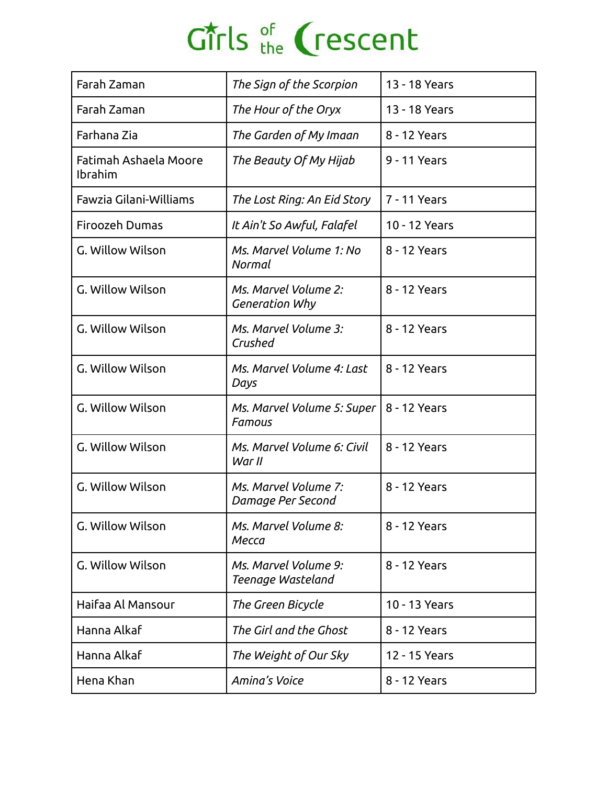| Farah Zaman                             | The Sign of the Scorpion                  | 13 - 18 Years |
|-----------------------------------------|-------------------------------------------|---------------|
| Farah Zaman                             | The Hour of the Oryx                      | 13 - 18 Years |
| Farhana Zia                             | The Garden of My Imaan                    | 8 - 12 Years  |
| Fatimah Ashaela Moore<br><b>Ibrahim</b> | The Beauty Of My Hijab                    | 9 - 11 Years  |
| Fawzia Gilani-Williams                  | The Lost Ring: An Eid Story               | 7 - 11 Years  |
| <b>Firoozeh Dumas</b>                   | It Ain't So Awful, Falafel                | 10 - 12 Years |
| G. Willow Wilson                        | Ms. Marvel Volume 1: No<br>Normal         | 8 - 12 Years  |
| G. Willow Wilson                        | Ms. Marvel Volume 2:<br>Generation Why    | 8 - 12 Years  |
| G. Willow Wilson                        | Ms. Marvel Volume 3:<br>Crushed           | 8 - 12 Years  |
| G. Willow Wilson                        | Ms. Marvel Volume 4: Last<br>Days         | 8 - 12 Years  |
| G. Willow Wilson                        | Ms. Marvel Volume 5: Super  <br>Famous    | 8 - 12 Years  |
| G. Willow Wilson                        | Ms. Marvel Volume 6: Civil<br>War II      | 8 - 12 Years  |
| G. Willow Wilson                        | Ms. Marvel Volume 7:<br>Damage Per Second | 8 - 12 Years  |
| G. Willow Wilson                        | Ms. Marvel Volume 8:<br>Месса             | 8 - 12 Years  |
| G. Willow Wilson                        | Ms. Marvel Volume 9:<br>Teenage Wasteland | 8 - 12 Years  |
| Haifaa Al Mansour                       | The Green Bicycle                         | 10 - 13 Years |
| Hanna Alkaf                             | The Girl and the Ghost                    | 8 - 12 Years  |
| Hanna Alkaf                             | The Weight of Our Sky                     | 12 - 15 Years |
| Hena Khan                               | Amina's Voice                             | 8 - 12 Years  |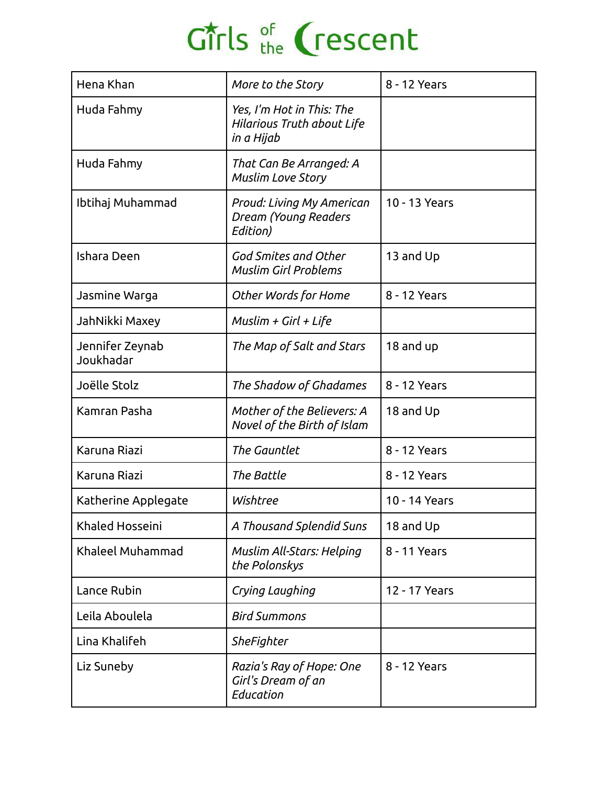| Hena Khan                    | More to the Story                                                     | 8 - 12 Years  |  |
|------------------------------|-----------------------------------------------------------------------|---------------|--|
| Huda Fahmy                   | Yes, I'm Hot in This: The<br>Hilarious Truth about Life<br>in a Hijab |               |  |
| Huda Fahmy                   | That Can Be Arranged: A<br><b>Muslim Love Story</b>                   |               |  |
| Ibtihaj Muhammad             | Proud: Living My American<br>Dream (Young Readers<br>Edition)         | 10 - 13 Years |  |
| Ishara Deen                  | God Smites and Other<br><b>Muslim Girl Problems</b>                   | 13 and Up     |  |
| Jasmine Warga                | <b>Other Words for Home</b>                                           | 8 - 12 Years  |  |
| JahNikki Maxey               | Muslim + Girl + Life                                                  |               |  |
| Jennifer Zeynab<br>Joukhadar | The Map of Salt and Stars                                             | 18 and up     |  |
| Joëlle Stolz                 | The Shadow of Ghadames                                                | 8 - 12 Years  |  |
| Kamran Pasha                 | Mother of the Believers: A<br>Novel of the Birth of Islam             | 18 and Up     |  |
| Karuna Riazi                 | The Gauntlet                                                          | 8 - 12 Years  |  |
| Karuna Riazi                 | The Battle                                                            | 8 - 12 Years  |  |
| Katherine Applegate          | Wishtree                                                              | 10 - 14 Years |  |
| Khaled Hosseini              | A Thousand Splendid Suns                                              | 18 and Up     |  |
| Khaleel Muhammad             | Muslim All-Stars: Helping<br>the Polonskys                            | 8 - 11 Years  |  |
| Lance Rubin                  | Crying Laughing                                                       | 12 - 17 Years |  |
| Leila Aboulela               | <b>Bird Summons</b>                                                   |               |  |
| Lina Khalifeh                | SheFighter                                                            |               |  |
| Liz Suneby                   | Razia's Ray of Hope: One<br>Girl's Dream of an<br>Education           | 8 - 12 Years  |  |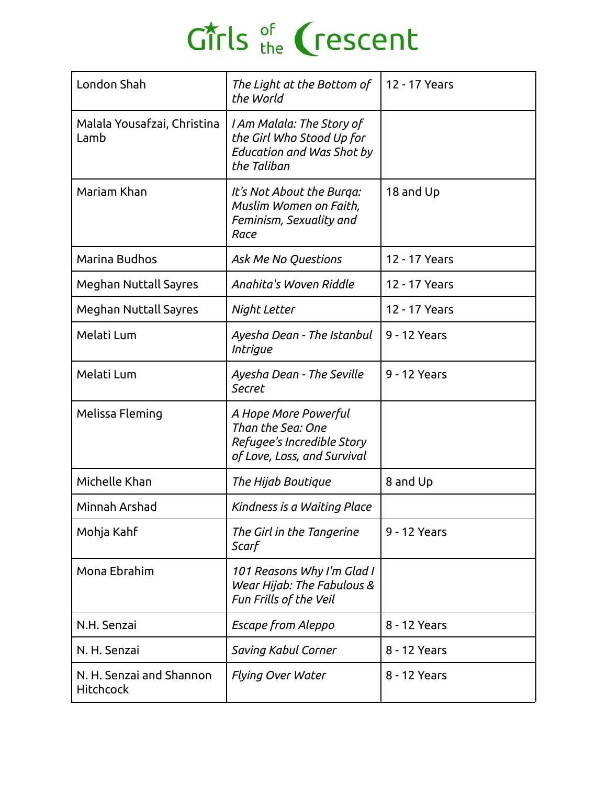| London Shah                                  | The Light at the Bottom of<br>the World                                                                   | 12 - 17 Years |  |
|----------------------------------------------|-----------------------------------------------------------------------------------------------------------|---------------|--|
| Malala Yousafzai, Christina<br>Lamb          | I Am Malala: The Story of<br>the Girl Who Stood Up for<br><b>Education and Was Shot by</b><br>the Taliban |               |  |
| Mariam Khan                                  | It's Not About the Burga:<br>Muslim Women on Faith,<br>Feminism, Sexuality and<br>Race                    | 18 and Up     |  |
| Marina Budhos                                | Ask Me No Questions                                                                                       | 12 - 17 Years |  |
| <b>Meghan Nuttall Sayres</b>                 | Anahita's Woven Riddle                                                                                    | 12 - 17 Years |  |
| <b>Meghan Nuttall Sayres</b>                 | Night Letter                                                                                              | 12 - 17 Years |  |
| Melati Lum                                   | Ayesha Dean - The Istanbul<br><i>Intrigue</i>                                                             | 9 - 12 Years  |  |
| Melati Lum                                   | Ayesha Dean - The Seville<br>Secret                                                                       | 9 - 12 Years  |  |
| Melissa Fleming                              | A Hope More Powerful<br>Than the Sea: One<br>Refugee's Incredible Story<br>of Love, Loss, and Survival    |               |  |
| Michelle Khan                                | The Hijab Boutique                                                                                        | 8 and Up      |  |
| Minnah Arshad                                | Kindness is a Waiting Place                                                                               |               |  |
| Mohja Kahf                                   | The Girl in the Tangerine<br>Scarf                                                                        | 9 - 12 Years  |  |
| Mona Ebrahim                                 | 101 Reasons Why I'm Glad I<br>Wear Hijab: The Fabulous &<br>Fun Frills of the Veil                        |               |  |
| N.H. Senzai                                  | Escape from Aleppo                                                                                        | 8 - 12 Years  |  |
| N. H. Senzai                                 | Saving Kabul Corner                                                                                       | 8 - 12 Years  |  |
| N. H. Senzai and Shannon<br><b>Hitchcock</b> | <b>Flying Over Water</b>                                                                                  | 8 - 12 Years  |  |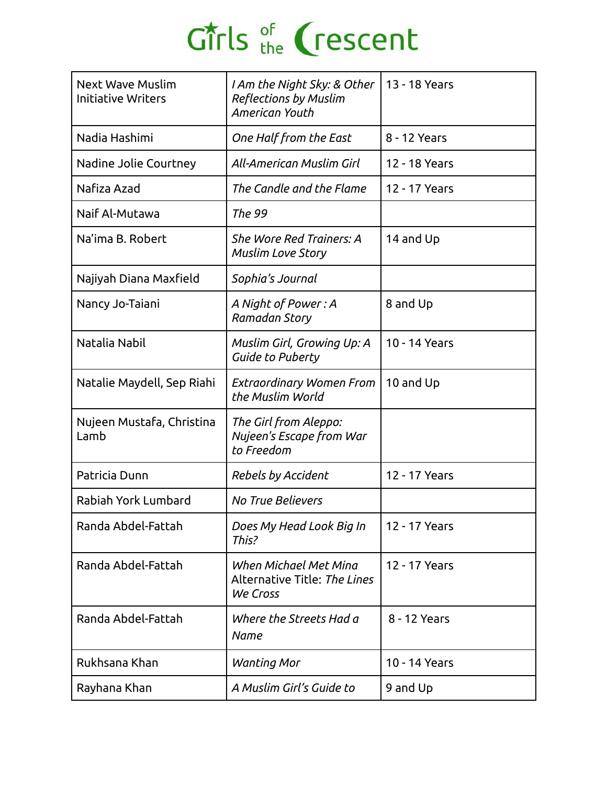| <b>Next Wave Muslim</b><br><b>Initiative Writers</b> | I Am the Night Sky: & Other<br><b>Reflections by Muslim</b><br>American Youth | 13 - 18 Years |  |
|------------------------------------------------------|-------------------------------------------------------------------------------|---------------|--|
| Nadia Hashimi                                        | One Half from the East                                                        | 8 - 12 Years  |  |
| Nadine Jolie Courtney                                | All-American Muslim Girl                                                      | 12 - 18 Years |  |
| Nafiza Azad                                          | The Candle and the Flame                                                      | 12 - 17 Years |  |
| Naif Al-Mutawa                                       | The 99                                                                        |               |  |
| Na'ima B. Robert                                     | She Wore Red Trainers: A<br><b>Muslim Love Story</b>                          | 14 and Up     |  |
| Najiyah Diana Maxfield                               | Sophia's Journal                                                              |               |  |
| Nancy Jo-Taiani                                      | A Night of Power: A<br>Ramadan Story                                          | 8 and Up      |  |
| Natalia Nabil                                        | Muslim Girl, Growing Up: A<br><b>Guide to Puberty</b>                         | 10 - 14 Years |  |
| Natalie Maydell, Sep Riahi                           | Extraordinary Women From<br>the Muslim World                                  | 10 and Up     |  |
| Nujeen Mustafa, Christina<br>Lamb                    | The Girl from Aleppo:<br>Nujeen's Escape from War<br>to Freedom               |               |  |
| Patricia Dunn                                        | <b>Rebels by Accident</b>                                                     | 12 - 17 Years |  |
| Rabiah York Lumbard                                  | <b>No True Believers</b>                                                      |               |  |
| Randa Abdel-Fattah                                   | Does My Head Look Big In<br>This?                                             | 12 - 17 Years |  |
| Randa Abdel-Fattah                                   | When Michael Met Mina<br>Alternative Title: The Lines<br>We Cross             | 12 - 17 Years |  |
| Randa Abdel-Fattah                                   | Where the Streets Had a<br><b>Name</b>                                        | 8 - 12 Years  |  |
| Rukhsana Khan                                        | <b>Wanting Mor</b>                                                            | 10 - 14 Years |  |
| Rayhana Khan                                         | A Muslim Girl's Guide to                                                      | 9 and Up      |  |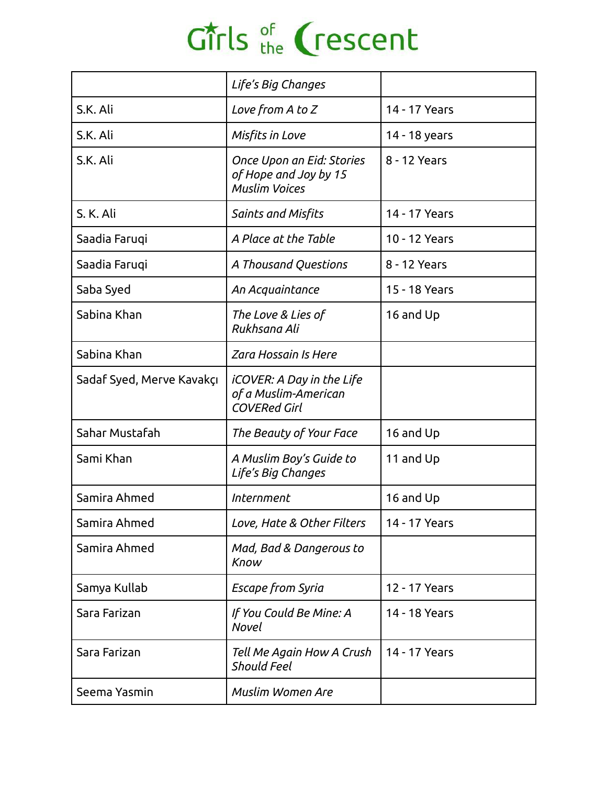|                           | Life's Big Changes                                                         |               |  |
|---------------------------|----------------------------------------------------------------------------|---------------|--|
| S.K. Ali                  | Love from A to Z                                                           | 14 - 17 Years |  |
| S.K. Ali                  | Misfits in Love                                                            | 14 - 18 years |  |
| S.K. Ali                  | Once Upon an Eid: Stories<br>of Hope and Joy by 15<br><b>Muslim Voices</b> | 8 - 12 Years  |  |
| S. K. Ali                 | <b>Saints and Misfits</b>                                                  | 14 - 17 Years |  |
| Saadia Faruqi             | A Place at the Table                                                       | 10 - 12 Years |  |
| Saadia Faruqi             | A Thousand Questions                                                       | 8 - 12 Years  |  |
| Saba Syed                 | An Acquaintance                                                            | 15 - 18 Years |  |
| Sabina Khan               | The Love & Lies of<br>Rukhsana Ali                                         | 16 and Up     |  |
| Sabina Khan               | <b>Zara Hossain Is Here</b>                                                |               |  |
| Sadaf Syed, Merve Kavakçı | iCOVER: A Day in the Life<br>of a Muslim-American<br><b>COVERed Girl</b>   |               |  |
| Sahar Mustafah            | The Beauty of Your Face                                                    | 16 and Up     |  |
| Sami Khan                 | A Muslim Boy's Guide to<br>Life's Big Changes                              | 11 and Up     |  |
| Samira Ahmed              | <i>Internment</i>                                                          | 16 and Up     |  |
| Samira Ahmed              | Love, Hate & Other Filters                                                 | 14 - 17 Years |  |
| Samira Ahmed              | Mad, Bad & Dangerous to<br>Know                                            |               |  |
| Samya Kullab              | <b>Escape from Syria</b>                                                   | 12 - 17 Years |  |
| Sara Farizan              | If You Could Be Mine: A<br>Novel                                           | 14 - 18 Years |  |
| Sara Farizan              | Tell Me Again How A Crush<br><b>Should Feel</b>                            | 14 - 17 Years |  |
| Seema Yasmin              | <b>Muslim Women Are</b>                                                    |               |  |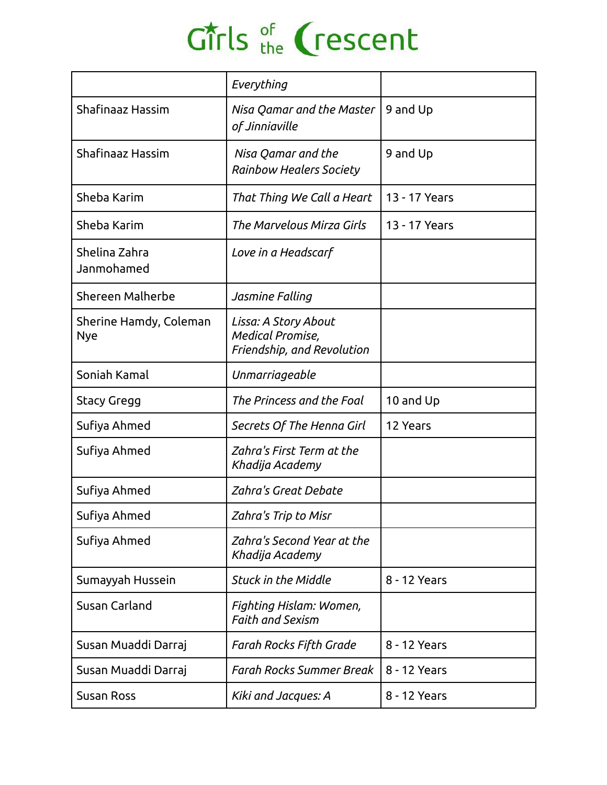|                                      | Everything                                                                    |               |  |
|--------------------------------------|-------------------------------------------------------------------------------|---------------|--|
| Shafinaaz Hassim                     | Nisa Qamar and the Master<br>of Jinniaville                                   | 9 and Up      |  |
| Shafinaaz Hassim                     | Nisa Qamar and the<br><b>Rainbow Healers Society</b>                          | 9 and Up      |  |
| Sheba Karim                          | That Thing We Call a Heart                                                    | 13 - 17 Years |  |
| Sheba Karim                          | The Marvelous Mirza Girls                                                     | 13 - 17 Years |  |
| Shelina Zahra<br>Janmohamed          | Love in a Headscarf                                                           |               |  |
| Shereen Malherbe                     | Jasmine Falling                                                               |               |  |
| Sherine Hamdy, Coleman<br><b>Nye</b> | Lissa: A Story About<br><b>Medical Promise,</b><br>Friendship, and Revolution |               |  |
| Soniah Kamal                         | Unmarriageable                                                                |               |  |
| <b>Stacy Gregg</b>                   | The Princess and the Foal                                                     | 10 and Up     |  |
| Sufiya Ahmed                         | Secrets Of The Henna Girl                                                     | 12 Years      |  |
| Sufiya Ahmed                         | Zahra's First Term at the<br>Khadija Academy                                  |               |  |
| Sufiya Ahmed                         | Zahra's Great Debate                                                          |               |  |
| Sufiya Ahmed                         | Zahra's Trip to Misr                                                          |               |  |
| Sufiya Ahmed                         | Zahra's Second Year at the<br>Khadija Academy                                 |               |  |
| Sumayyah Hussein                     | <b>Stuck in the Middle</b>                                                    | 8 - 12 Years  |  |
| Susan Carland                        | Fighting Hislam: Women,<br><b>Faith and Sexism</b>                            |               |  |
| Susan Muaddi Darraj                  | Farah Rocks Fifth Grade                                                       | 8 - 12 Years  |  |
| Susan Muaddi Darraj                  | Farah Rocks Summer Break                                                      | 8 - 12 Years  |  |
| Susan Ross                           | Kiki and Jacques: A                                                           | 8 - 12 Years  |  |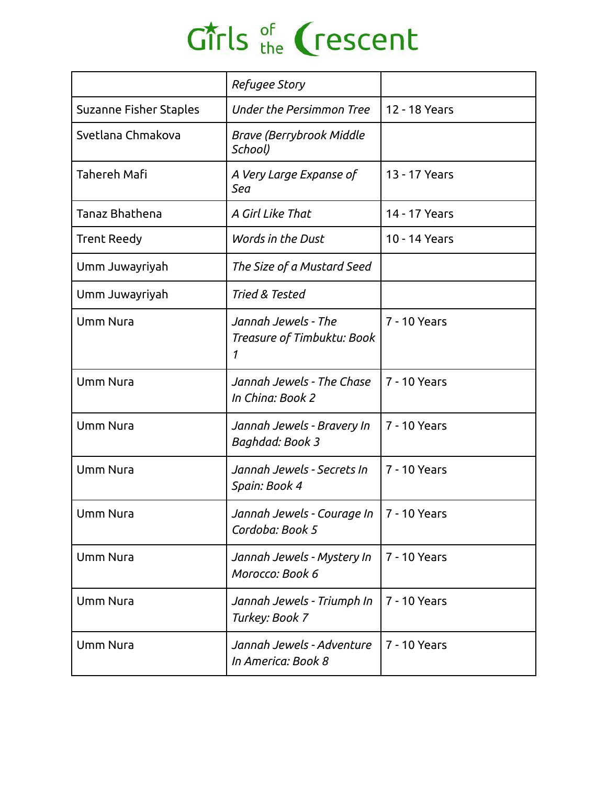|  | Girls of Crescent |
|--|-------------------|
|  |                   |

|                        | Refugee Story                                               |               |  |
|------------------------|-------------------------------------------------------------|---------------|--|
| Suzanne Fisher Staples | Under the Persimmon Tree                                    | 12 - 18 Years |  |
| Svetlana Chmakova      | <b>Brave (Berrybrook Middle</b><br>School)                  |               |  |
| <b>Tahereh Mafi</b>    | A Very Large Expanse of<br>Sea                              | 13 - 17 Years |  |
| Tanaz Bhathena         | A Girl Like That                                            | 14 - 17 Years |  |
| <b>Trent Reedy</b>     | Words in the Dust                                           | 10 - 14 Years |  |
| Umm Juwayriyah         | The Size of a Mustard Seed                                  |               |  |
| Umm Juwayriyah         | Tried & Tested                                              |               |  |
| <b>Umm Nura</b>        | Jannah Jewels - The<br>Treasure of Timbuktu: Book<br>1      | 7 - 10 Years  |  |
| <b>Umm Nura</b>        | Jannah Jewels - The Chase<br>In China: Book 2               | 7 - 10 Years  |  |
| <b>Umm Nura</b>        | Jannah Jewels - Bravery In<br>Baghdad: Book 3               | 7 - 10 Years  |  |
| <b>Umm Nura</b>        | Jannah Jewels - Secrets In<br>Spain: Book 4                 | 7 - 10 Years  |  |
| Umm Nura               | Jannah Jewels - Courage In  7 - 10 Years<br>Cordoba: Book 5 |               |  |
| <b>Umm Nura</b>        | Jannah Jewels - Mystery In<br>Morocco: Book 6               | 7 - 10 Years  |  |
| <b>Umm Nura</b>        | Jannah Jewels - Triumph In<br>Turkey: Book 7                | 7 - 10 Years  |  |
| <b>Umm Nura</b>        | Jannah Jewels - Adventure<br>In America: Book 8             | 7 - 10 Years  |  |